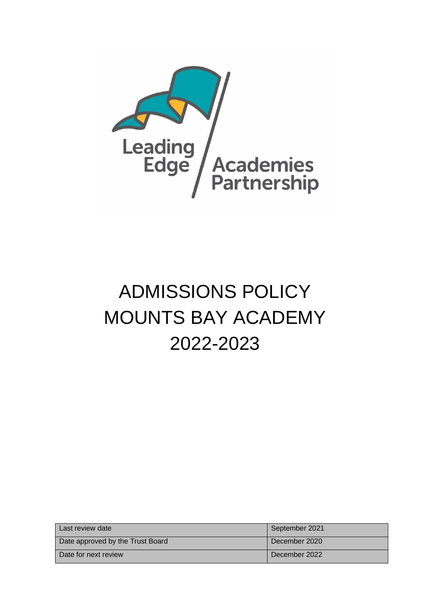

# ADMISSIONS POLICY MOUNTS BAY ACADEMY 2022-2023

| Last review date                 | September 2021 |
|----------------------------------|----------------|
| Date approved by the Trust Board | December 2020  |
| Date for next review             | December 2022  |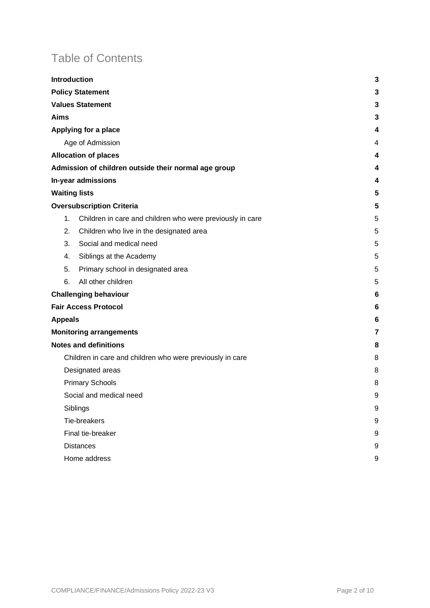# Table of Contents

|                                                           |    | <b>Introduction</b>                                       | 3 |
|-----------------------------------------------------------|----|-----------------------------------------------------------|---|
| <b>Policy Statement</b>                                   |    |                                                           | 3 |
| <b>Values Statement</b>                                   |    |                                                           | 3 |
| <b>Aims</b>                                               |    |                                                           | 3 |
| Applying for a place                                      |    |                                                           | 4 |
| Age of Admission                                          |    |                                                           | 4 |
| <b>Allocation of places</b>                               |    |                                                           | 4 |
|                                                           |    | Admission of children outside their normal age group      | 4 |
| In-year admissions                                        |    |                                                           | 4 |
|                                                           |    | <b>Waiting lists</b>                                      | 5 |
|                                                           |    | <b>Oversubscription Criteria</b>                          | 5 |
|                                                           | 1. | Children in care and children who were previously in care | 5 |
|                                                           | 2. | Children who live in the designated area                  | 5 |
|                                                           | 3. | Social and medical need                                   | 5 |
|                                                           | 4. | Siblings at the Academy                                   | 5 |
|                                                           | 5. | Primary school in designated area                         | 5 |
|                                                           | 6. | All other children                                        | 5 |
| <b>Challenging behaviour</b>                              |    | 6                                                         |   |
| <b>Fair Access Protocol</b>                               |    | 6                                                         |   |
| <b>Appeals</b>                                            |    | 6                                                         |   |
| <b>Monitoring arrangements</b>                            |    |                                                           | 7 |
| <b>Notes and definitions</b>                              |    | 8                                                         |   |
| Children in care and children who were previously in care |    |                                                           | 8 |
| Designated areas                                          |    |                                                           | 8 |
| <b>Primary Schools</b>                                    |    | 8                                                         |   |
| Social and medical need                                   |    | 9                                                         |   |
| Siblings                                                  |    |                                                           | 9 |
| Tie-breakers                                              |    |                                                           | 9 |
|                                                           |    | Final tie-breaker                                         | 9 |
|                                                           |    | <b>Distances</b>                                          | 9 |
|                                                           |    | Home address                                              | 9 |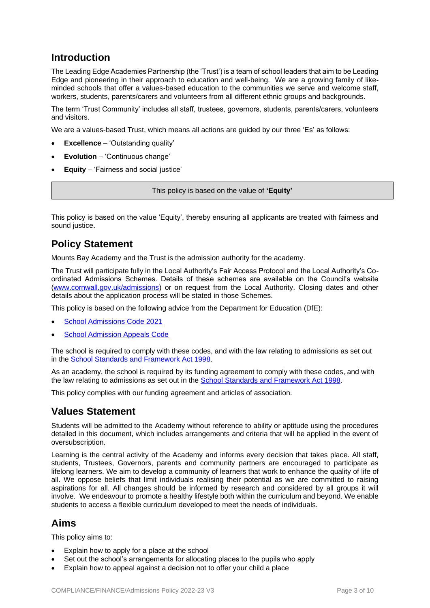### **Introduction**

The Leading Edge Academies Partnership (the 'Trust') is a team of school leaders that aim to be Leading Edge and pioneering in their approach to education and well-being. We are a growing family of likeminded schools that offer a values-based education to the communities we serve and welcome staff, workers, students, parents/carers and volunteers from all different ethnic groups and backgrounds.

The term 'Trust Community' includes all staff, trustees, governors, students, parents/carers, volunteers and visitors.

We are a values-based Trust, which means all actions are guided by our three 'Es' as follows:

- **Excellence** 'Outstanding quality'
- **Evolution** 'Continuous change'
- **Equity** 'Fairness and social justice'

This policy is based on the value of **'Equity'**

This policy is based on the value 'Equity', thereby ensuring all applicants are treated with fairness and sound justice.

### **Policy Statement**

Mounts Bay Academy and the Trust is the admission authority for the academy.

The Trust will participate fully in the Local Authority's Fair Access Protocol and the Local Authority's Coordinated Admissions Schemes. Details of these schemes are available on the Council's website [\(www.cornwall.gov.uk/admissions\)](http://www.cornwall.gov.uk/admissions) or on request from the Local Authority. Closing dates and other details about the application process will be stated in those Schemes.

This policy is based on the following advice from the Department for Education (DfE):

- [School Admissions Code 2021](https://www.gov.uk/government/publications/school-admissions-code--2)
- **[School Admission Appeals Code](https://www.gov.uk/government/publications/school-admissions-appeals-code)**

The school is required to comply with these codes, and with the law relating to admissions as set out in the [School Standards and Framework Act 1998.](http://www.legislation.gov.uk/ukpga/1998/31/contents)

As an academy, the school is required by its funding agreement to comply with these codes, and with the law relating to admissions as set out in the **School Standards and Framework Act 1998**.

This policy complies with our funding agreement and articles of association.

### **Values Statement**

Students will be admitted to the Academy without reference to ability or aptitude using the procedures detailed in this document, which includes arrangements and criteria that will be applied in the event of oversubscription.

Learning is the central activity of the Academy and informs every decision that takes place. All staff, students, Trustees, Governors, parents and community partners are encouraged to participate as lifelong learners. We aim to develop a community of learners that work to enhance the quality of life of all. We oppose beliefs that limit individuals realising their potential as we are committed to raising aspirations for all. All changes should be informed by research and considered by all groups it will involve. We endeavour to promote a healthy lifestyle both within the curriculum and beyond. We enable students to access a flexible curriculum developed to meet the needs of individuals.

### **Aims**

This policy aims to:

- Explain how to apply for a place at the school
- Set out the school's arrangements for allocating places to the pupils who apply
- Explain how to appeal against a decision not to offer your child a place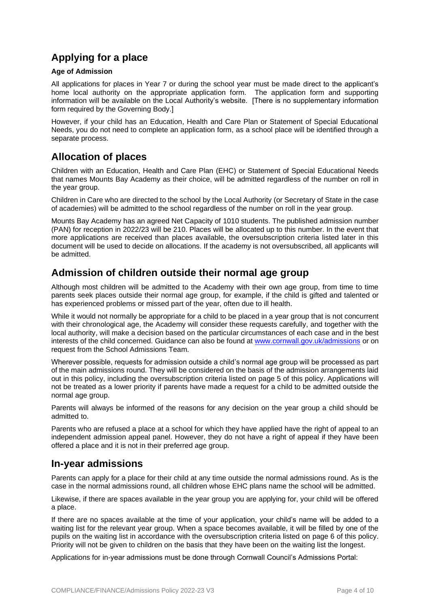# **Applying for a place**

### **Age of Admission**

All applications for places in Year 7 or during the school year must be made direct to the applicant's home local authority on the appropriate application form. The application form and supporting information will be available on the Local Authority's website. [There is no supplementary information form required by the Governing Body.]

However, if your child has an Education, Health and Care Plan or Statement of Special Educational Needs, you do not need to complete an application form, as a school place will be identified through a separate process.

### **Allocation of places**

Children with an Education, Health and Care Plan (EHC) or Statement of Special Educational Needs that names Mounts Bay Academy as their choice, will be admitted regardless of the number on roll in the year group.

Children in Care who are directed to the school by the Local Authority (or Secretary of State in the case of academies) will be admitted to the school regardless of the number on roll in the year group.

Mounts Bay Academy has an agreed Net Capacity of 1010 students. The published admission number (PAN) for reception in 2022/23 will be 210. Places will be allocated up to this number. In the event that more applications are received than places available, the oversubscription criteria listed later in this document will be used to decide on allocations. If the academy is not oversubscribed, all applicants will be admitted.

### **Admission of children outside their normal age group**

Although most children will be admitted to the Academy with their own age group, from time to time parents seek places outside their normal age group, for example, if the child is gifted and talented or has experienced problems or missed part of the year, often due to ill health.

While it would not normally be appropriate for a child to be placed in a year group that is not concurrent with their chronological age, the Academy will consider these requests carefully, and together with the local authority, will make a decision based on the particular circumstances of each case and in the best interests of the child concerned. Guidance can also be found at [www.cornwall.gov.uk/admissions](http://www.cornwall.gov.uk/admissions) or on request from the School Admissions Team.

Wherever possible, requests for admission outside a child's normal age group will be processed as part of the main admissions round. They will be considered on the basis of the admission arrangements laid out in this policy, including the oversubscription criteria listed on page 5 of this policy. Applications will not be treated as a lower priority if parents have made a request for a child to be admitted outside the normal age group.

Parents will always be informed of the reasons for any decision on the year group a child should be admitted to.

Parents who are refused a place at a school for which they have applied have the right of appeal to an independent admission appeal panel. However, they do not have a right of appeal if they have been offered a place and it is not in their preferred age group.

### **In-year admissions**

Parents can apply for a place for their child at any time outside the normal admissions round. As is the case in the normal admissions round, all children whose EHC plans name the school will be admitted.

Likewise, if there are spaces available in the year group you are applying for, your child will be offered a place.

If there are no spaces available at the time of your application, your child's name will be added to a waiting list for the relevant year group. When a space becomes available, it will be filled by one of the pupils on the waiting list in accordance with the oversubscription criteria listed on page 6 of this policy. Priority will not be given to children on the basis that they have been on the waiting list the longest.

Applications for in-year admissions must be done through Cornwall Council's Admissions Portal: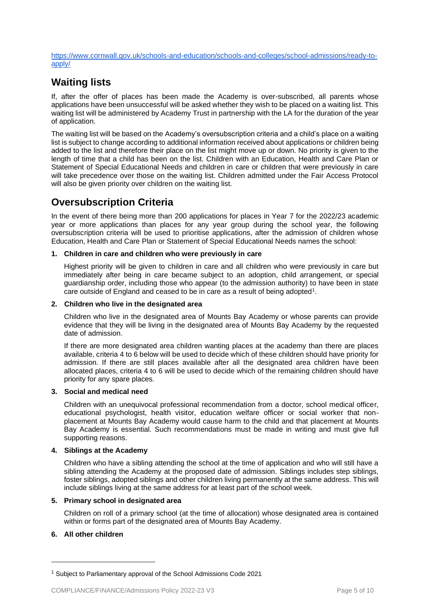[https://www.cornwall.gov.uk/schools-and-education/schools-and-colleges/school-admissions/ready-to](https://www.cornwall.gov.uk/schools-and-education/schools-and-colleges/school-admissions/ready-to-apply/)[apply/](https://www.cornwall.gov.uk/schools-and-education/schools-and-colleges/school-admissions/ready-to-apply/)

### **Waiting lists**

If, after the offer of places has been made the Academy is over-subscribed, all parents whose applications have been unsuccessful will be asked whether they wish to be placed on a waiting list. This waiting list will be administered by Academy Trust in partnership with the LA for the duration of the year of application.

The waiting list will be based on the Academy's oversubscription criteria and a child's place on a waiting list is subject to change according to additional information received about applications or children being added to the list and therefore their place on the list might move up or down. No priority is given to the length of time that a child has been on the list. Children with an Education, Health and Care Plan or Statement of Special Educational Needs and children in care or children that were previously in care will take precedence over those on the waiting list. Children admitted under the Fair Access Protocol will also be given priority over children on the waiting list.

### **Oversubscription Criteria**

In the event of there being more than 200 applications for places in Year 7 for the 2022/23 academic year or more applications than places for any year group during the school year, the following oversubscription criteria will be used to prioritise applications, after the admission of children whose Education, Health and Care Plan or Statement of Special Educational Needs names the school:

### **1. Children in care and children who were previously in care**

Highest priority will be given to children in care and all children who were previously in care but immediately after being in care became subject to an adoption, child arrangement, or special guardianship order, including those who appear (to the admission authority) to have been in state care outside of England and ceased to be in care as a result of being adopted<sup>1</sup>.

#### **2. Children who live in the designated area**

Children who live in the designated area of Mounts Bay Academy or whose parents can provide evidence that they will be living in the designated area of Mounts Bay Academy by the requested date of admission.

If there are more designated area children wanting places at the academy than there are places available, criteria 4 to 6 below will be used to decide which of these children should have priority for admission. If there are still places available after all the designated area children have been allocated places, criteria 4 to 6 will be used to decide which of the remaining children should have priority for any spare places.

#### **3. Social and medical need**

Children with an unequivocal professional recommendation from a doctor, school medical officer, educational psychologist, health visitor, education welfare officer or social worker that nonplacement at Mounts Bay Academy would cause harm to the child and that placement at Mounts Bay Academy is essential. Such recommendations must be made in writing and must give full supporting reasons.

### **4. Siblings at the Academy**

Children who have a sibling attending the school at the time of application and who will still have a sibling attending the Academy at the proposed date of admission. Siblings includes step siblings, foster siblings, adopted siblings and other children living permanently at the same address. This will include siblings living at the same address for at least part of the school week.

#### **5. Primary school in designated area**

Children on roll of a primary school (at the time of allocation) whose designated area is contained within or forms part of the designated area of Mounts Bay Academy.

### **6. All other children**

<sup>1</sup> Subject to Parliamentary approval of the School Admissions Code 2021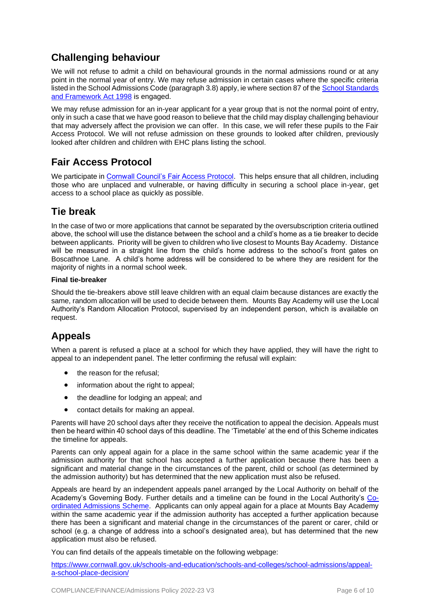## **Challenging behaviour**

We will not refuse to admit a child on behavioural grounds in the normal admissions round or at any point in the normal year of entry. We may refuse admission in certain cases where the specific criteria listed in the School Admissions Code (paragraph 3.8) apply, ie where section 87 of the [School Standards](https://www.legislation.gov.uk/ukpga/1998/31/part/III/chapter/I/crossheading/parental-preferences/enacted?view=plain)  [and Framework Act 1998](https://www.legislation.gov.uk/ukpga/1998/31/part/III/chapter/I/crossheading/parental-preferences/enacted?view=plain) is engaged.

We may refuse admission for an in-year applicant for a year group that is not the normal point of entry, only in such a case that we have good reason to believe that the child may display challenging behaviour that may adversely affect the provision we can offer. In this case, we will refer these pupils to the Fair Access Protocol. We will not refuse admission on these grounds to looked after children, previously looked after children and children with EHC plans listing the school.

### **Fair Access Protocol**

We participate in [Cornwall Council's Fair Access Protocol.](https://www.cornwall.gov.uk/fairaccess) This helps ensure that all children, including those who are unplaced and vulnerable, or having difficulty in securing a school place in-year, get access to a school place as quickly as possible.

### **Tie break**

In the case of two or more applications that cannot be separated by the oversubscription criteria outlined above, the school will use the distance between the school and a child's home as a tie breaker to decide between applicants. Priority will be given to children who live closest to Mounts Bay Academy. Distance will be measured in a straight line from the child's home address to the school's front gates on Boscathnoe Lane. A child's home address will be considered to be where they are resident for the majority of nights in a normal school week.

### **Final tie-breaker**

Should the tie-breakers above still leave children with an equal claim because distances are exactly the same, random allocation will be used to decide between them. Mounts Bay Academy will use the Local Authority's Random Allocation Protocol, supervised by an independent person, which is available on request.

# **Appeals**

When a parent is refused a place at a school for which they have applied, they will have the right to appeal to an independent panel. The letter confirming the refusal will explain:

- the reason for the refusal;
- information about the right to appeal;
- the deadline for lodging an appeal; and
- contact details for making an appeal.

Parents will have 20 school days after they receive the notification to appeal the decision. Appeals must then be heard within 40 school days of this deadline. The 'Timetable' at the end of this Scheme indicates the timeline for appeals.

Parents can only appeal again for a place in the same school within the same academic year if the admission authority for that school has accepted a further application because there has been a significant and material change in the circumstances of the parent, child or school (as determined by the admission authority) but has determined that the new application must also be refused.

Appeals are heard by an independent appeals panel arranged by the Local Authority on behalf of the Academy's Governing Body. Further details and a timeline can be found in the Local Authority's [Co](https://www.cornwall.gov.uk/media/m02k5rul/coordinated-admissions-scheme-2022-23.pdf)[ordinated Admissions Scheme.](https://www.cornwall.gov.uk/media/m02k5rul/coordinated-admissions-scheme-2022-23.pdf) Applicants can only appeal again for a place at Mounts Bay Academy within the same academic year if the admission authority has accepted a further application because there has been a significant and material change in the circumstances of the parent or carer, child or school (e.g. a change of address into a school's designated area), but has determined that the new application must also be refused.

You can find details of the appeals timetable on the following webpage:

[https://www.cornwall.gov.uk/schools-and-education/schools-and-colleges/school-admissions/appeal](https://www.cornwall.gov.uk/schools-and-education/schools-and-colleges/school-admissions/appeal-a-school-place-decision/)[a-school-place-decision/](https://www.cornwall.gov.uk/schools-and-education/schools-and-colleges/school-admissions/appeal-a-school-place-decision/)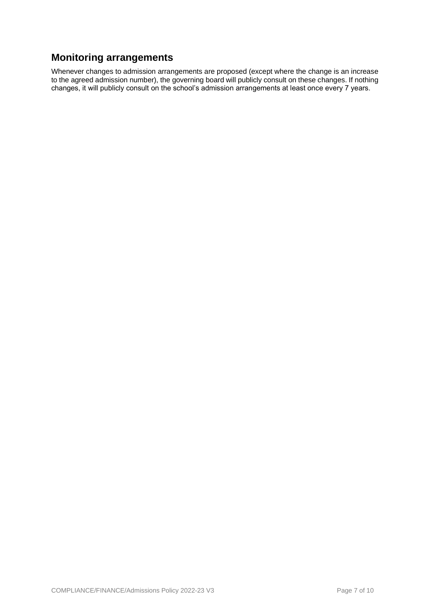### **Monitoring arrangements**

Whenever changes to admission arrangements are proposed (except where the change is an increase to the agreed admission number), the governing board will publicly consult on these changes. If nothing changes, it will publicly consult on the school's admission arrangements at least once every 7 years.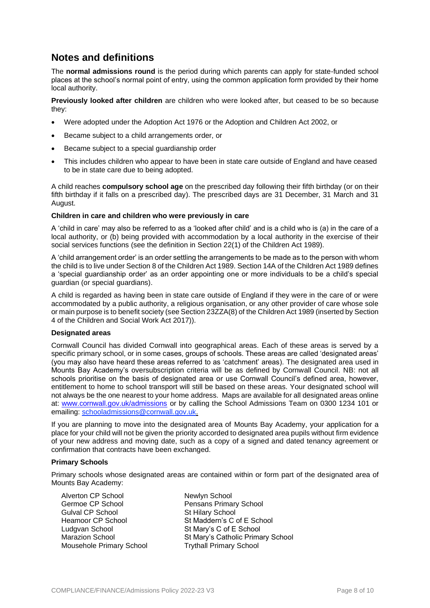### **Notes and definitions**

The **normal admissions round** is the period during which parents can apply for state-funded school places at the school's normal point of entry, using the common application form provided by their home local authority.

**Previously looked after children** are children who were looked after, but ceased to be so because they:

- Were adopted under the Adoption Act 1976 or the Adoption and Children Act 2002, or
- Became subject to a child arrangements order, or
- Became subject to a special guardianship order
- This includes children who appear to have been in state care outside of England and have ceased to be in state care due to being adopted.

A child reaches **compulsory school age** on the prescribed day following their fifth birthday (or on their fifth birthday if it falls on a prescribed day). The prescribed days are 31 December, 31 March and 31 August.

#### **Children in care and children who were previously in care**

A 'child in care' may also be referred to as a 'looked after child' and is a child who is (a) in the care of a local authority, or (b) being provided with accommodation by a local authority in the exercise of their social services functions (see the definition in Section 22(1) of the Children Act 1989).

A 'child arrangement order' is an order settling the arrangements to be made as to the person with whom the child is to live under Section 8 of the Children Act 1989. Section 14A of the Children Act 1989 defines a 'special guardianship order' as an order appointing one or more individuals to be a child's special guardian (or special guardians).

A child is regarded as having been in state care outside of England if they were in the care of or were accommodated by a public authority, a religious organisation, or any other provider of care whose sole or main purpose is to benefit society (see Section 23ZZA(8) of the Children Act 1989 (inserted by Section 4 of the Children and Social Work Act 2017)).

#### **Designated areas**

Cornwall Council has divided Cornwall into geographical areas. Each of these areas is served by a specific primary school, or in some cases, groups of schools. These areas are called 'designated areas' (you may also have heard these areas referred to as 'catchment' areas). The designated area used in Mounts Bay Academy's oversubscription criteria will be as defined by Cornwall Council. NB: not all schools prioritise on the basis of designated area or use Cornwall Council's defined area, however, entitlement to home to school transport will still be based on these areas. Your designated school will not always be the one nearest to your home address. Maps are available for all designated areas online at: [www.cornwall.gov.uk/admissions](http://www.cornwall.gov.uk/admissions) or by calling the School Admissions Team on 0300 1234 101 or emailing: [schooladmissions@cornwall.gov.uk.](mailto:schooladmissions@cornwall.gov.uk)

If you are planning to move into the designated area of Mounts Bay Academy, your application for a place for your child will not be given the priority accorded to designated area pupils without firm evidence of your new address and moving date, such as a copy of a signed and dated tenancy agreement or confirmation that contracts have been exchanged.

#### **Primary Schools**

Primary schools whose designated areas are contained within or form part of the designated area of Mounts Bay Academy:

| Alverton CP School              | Newlyn School                     |
|---------------------------------|-----------------------------------|
| Germoe CP School                | Pensans Primary School            |
| Gulval CP School                | St Hilary School                  |
| Heamoor CP School               | St Maddern's C of E School        |
| Ludgvan School                  | St Mary's C of E School           |
| Marazion School                 | St Mary's Catholic Primary School |
| <b>Mousehole Primary School</b> | <b>Trythall Primary School</b>    |
|                                 |                                   |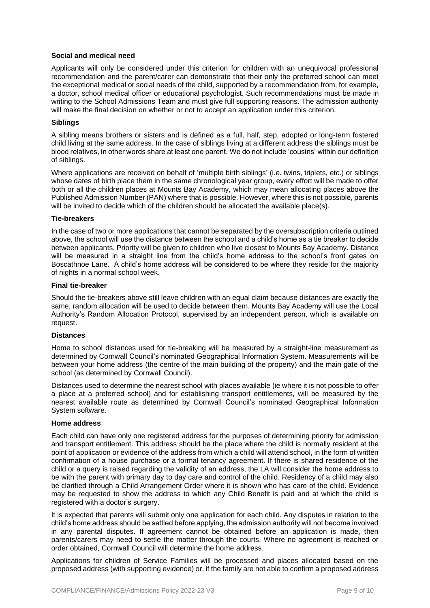#### **Social and medical need**

Applicants will only be considered under this criterion for children with an unequivocal professional recommendation and the parent/carer can demonstrate that their only the preferred school can meet the exceptional medical or social needs of the child, supported by a recommendation from, for example, a doctor, school medical officer or educational psychologist. Such recommendations must be made in writing to the School Admissions Team and must give full supporting reasons. The admission authority will make the final decision on whether or not to accept an application under this criterion.

#### **Siblings**

A sibling means brothers or sisters and is defined as a full, half, step, adopted or long-term fostered child living at the same address. In the case of siblings living at a different address the siblings must be blood relatives, in other words share at least one parent. We do not include 'cousins' within our definition of siblings.

Where applications are received on behalf of 'multiple birth siblings' (i.e. twins, triplets, etc.) or siblings whose dates of birth place them in the same chronological year group, every effort will be made to offer both or all the children places at Mounts Bay Academy, which may mean allocating places above the Published Admission Number (PAN) where that is possible. However, where this is not possible, parents will be invited to decide which of the children should be allocated the available place(s).

#### **Tie-breakers**

In the case of two or more applications that cannot be separated by the oversubscription criteria outlined above, the school will use the distance between the school and a child's home as a tie breaker to decide between applicants. Priority will be given to children who live closest to Mounts Bay Academy. Distance will be measured in a straight line from the child's home address to the school's front gates on Boscathnoe Lane. A child's home address will be considered to be where they reside for the majority of nights in a normal school week.

#### **Final tie-breaker**

Should the tie-breakers above still leave children with an equal claim because distances are exactly the same, random allocation will be used to decide between them. Mounts Bay Academy will use the Local Authority's Random Allocation Protocol, supervised by an independent person, which is available on request.

#### **Distances**

Home to school distances used for tie-breaking will be measured by a straight-line measurement as determined by Cornwall Council's nominated Geographical Information System. Measurements will be between your home address (the centre of the main building of the property) and the main gate of the school (as determined by Cornwall Council).

Distances used to determine the nearest school with places available (ie where it is not possible to offer a place at a preferred school) and for establishing transport entitlements, will be measured by the nearest available route as determined by Cornwall Council's nominated Geographical Information System software.

#### **Home address**

Each child can have only one registered address for the purposes of determining priority for admission and transport entitlement. This address should be the place where the child is normally resident at the point of application or evidence of the address from which a child will attend school, in the form of written confirmation of a house purchase or a formal tenancy agreement. If there is shared residence of the child or a query is raised regarding the validity of an address, the LA will consider the home address to be with the parent with primary day to day care and control of the child. Residency of a child may also be clarified through a Child Arrangement Order where it is shown who has care of the child. Evidence may be requested to show the address to which any Child Benefit is paid and at which the child is registered with a doctor's surgery.

It is expected that parents will submit only one application for each child. Any disputes in relation to the child's home address should be settled before applying, the admission authority will not become involved in any parental disputes. If agreement cannot be obtained before an application is made, then parents/carers may need to settle the matter through the courts. Where no agreement is reached or order obtained, Cornwall Council will determine the home address.

Applications for children of Service Families will be processed and places allocated based on the proposed address (with supporting evidence) or, if the family are not able to confirm a proposed address